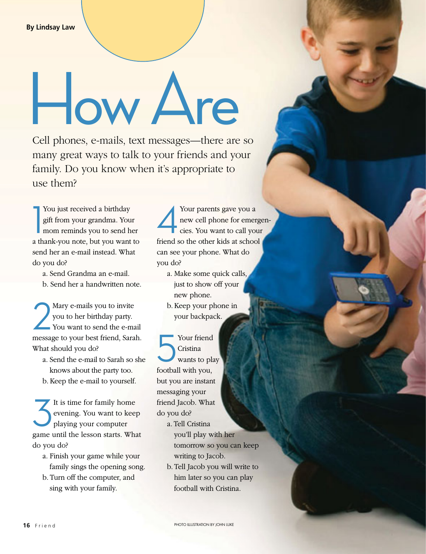## How Are

Cell phones, e-mails, text messages—there are so many great ways to talk to your friends and your family. Do you know when it's appropriate to use them?

1 You just received a birthday gift from your grandma. Your mom reminds you to send her a thank-you note, but you want to send her an e-mail instead. What do you do?

a. Send Grandma an e-mail.

b. Send her a handwritten note.

2 Mary e-mails you to invite you to her birthday party. You want to send the e-mail message to your best friend, Sarah. What should you do?

- a. Send the e-mail to Sarah so she knows about the party too.
- b. Keep the e-mail to yourself.

It is time for family home<br>evening. You want to keep<br>playing your computer evening. You want to keep playing your computer game until the lesson starts. What do you do?

- a. Finish your game while your family sings the opening song.
- b. Turn off the computer, and sing with your family.

Your parents gave you a<br>new cell phone for emerges. You want to call you new cell phone for emergencies. You want to call your friend so the other kids at school can see your phone. What do you do?

- a. Make some quick calls, just to show off your new phone.
- b. Keep your phone in your backpack.

Your friend<br>Cristina<br>wants to play Cristina football with you, but you are instant messaging your friend Jacob. What do you do?

- a. Tell Cristina you'll play with her tomorrow so you can keep writing to Jacob.
- b. Tell Jacob you will write to him later so you can play football with Cristina.